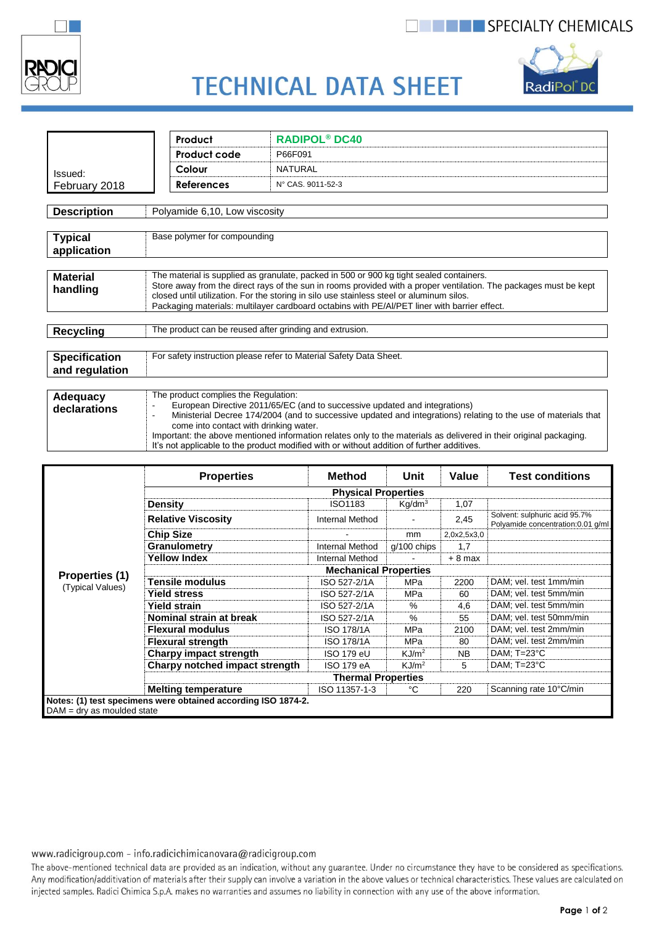

## **THE SPECIALTY CHEMICALS**



# **TECHNICAL DATA SHEET**

|                               | Product                                                                                                                                                                                                       | <b>RADIPOL<sup>®</sup> DC40</b> |  |  |  |  |
|-------------------------------|---------------------------------------------------------------------------------------------------------------------------------------------------------------------------------------------------------------|---------------------------------|--|--|--|--|
|                               | Product code                                                                                                                                                                                                  | P66F091                         |  |  |  |  |
| Issued:                       | Colour                                                                                                                                                                                                        | <b>NATURAL</b>                  |  |  |  |  |
| February 2018                 | <b>References</b>                                                                                                                                                                                             | N° CAS. 9011-52-3               |  |  |  |  |
|                               |                                                                                                                                                                                                               |                                 |  |  |  |  |
| <b>Description</b>            | Polyamide 6,10, Low viscosity                                                                                                                                                                                 |                                 |  |  |  |  |
|                               |                                                                                                                                                                                                               |                                 |  |  |  |  |
| <b>Typical</b><br>application | Base polymer for compounding                                                                                                                                                                                  |                                 |  |  |  |  |
|                               |                                                                                                                                                                                                               |                                 |  |  |  |  |
| <b>Material</b>               | The material is supplied as granulate, packed in 500 or 900 kg tight sealed containers.                                                                                                                       |                                 |  |  |  |  |
| handling                      | Store away from the direct rays of the sun in rooms provided with a proper ventilation. The packages must be kept<br>closed until utilization. For the storing in silo use stainless steel or aluminum silos. |                                 |  |  |  |  |
|                               | Packaging materials: multilayer cardboard octabins with PE/AI/PET liner with barrier effect.                                                                                                                  |                                 |  |  |  |  |
|                               |                                                                                                                                                                                                               |                                 |  |  |  |  |
| <b>Recycling</b>              | The product can be reused after grinding and extrusion.                                                                                                                                                       |                                 |  |  |  |  |
|                               |                                                                                                                                                                                                               |                                 |  |  |  |  |
| <b>Specification</b>          | For safety instruction please refer to Material Safety Data Sheet.                                                                                                                                            |                                 |  |  |  |  |
| and regulation                |                                                                                                                                                                                                               |                                 |  |  |  |  |
|                               |                                                                                                                                                                                                               |                                 |  |  |  |  |
| Adequacy                      | The product complies the Regulation:                                                                                                                                                                          |                                 |  |  |  |  |
| declarations                  | European Directive 2011/65/EC (and to successive updated and integrations)                                                                                                                                    |                                 |  |  |  |  |
|                               | Ministerial Decree 174/2004 (and to successive updated and integrations) relating to the use of materials that<br>$\blacksquare$<br>come into contact with drinking water.                                    |                                 |  |  |  |  |

|                                    | <b>Properties</b>                                             | <b>Method</b>          | Unit               | Value       | <b>Test conditions</b>                                              |  |  |
|------------------------------------|---------------------------------------------------------------|------------------------|--------------------|-------------|---------------------------------------------------------------------|--|--|
| Properties (1)<br>(Typical Values) | <b>Physical Properties</b>                                    |                        |                    |             |                                                                     |  |  |
|                                    | <b>Density</b>                                                | ISO1183                | Kg/dm <sup>3</sup> | 1,07        |                                                                     |  |  |
|                                    | <b>Relative Viscosity</b>                                     | Internal Method        |                    | 2,45        | Solvent: sulphuric acid 95.7%<br>Polyamide concentration: 0.01 q/ml |  |  |
|                                    | <b>Chip Size</b>                                              |                        | mm                 | 2,0x2,5x3,0 |                                                                     |  |  |
|                                    | Granulometry                                                  | <b>Internal Method</b> | $q/100$ chips      | 1,7         |                                                                     |  |  |
|                                    | <b>Yellow Index</b>                                           | <b>Internal Method</b> |                    | $+8$ max    |                                                                     |  |  |
|                                    | <b>Mechanical Properties</b>                                  |                        |                    |             |                                                                     |  |  |
|                                    | Tensile modulus                                               | ISO 527-2/1A           | MPa                | 2200        | DAM; vel. test 1mm/min                                              |  |  |
|                                    | <b>Yield stress</b>                                           | ISO 527-2/1A           | <b>MPa</b>         | 60          | DAM; vel. test 5mm/min                                              |  |  |
|                                    | Yield strain                                                  | ISO 527-2/1A           | $\%$               | 4,6         | DAM; vel. test 5mm/min                                              |  |  |
|                                    | Nominal strain at break                                       | ISO 527-2/1A           | $\%$               | 55          | DAM; vel. test 50mm/min                                             |  |  |
|                                    | <b>Flexural modulus</b>                                       | <b>ISO 178/1A</b>      | <b>MPa</b>         | 2100        | DAM; vel. test 2mm/min                                              |  |  |
|                                    | <b>Flexural strength</b>                                      | <b>ISO 178/1A</b>      | MPa                | 80          | DAM; vel. test 2mm/min                                              |  |  |
|                                    | Charpy impact strength                                        | <b>ISO 179 eU</b>      | KJ/m <sup>2</sup>  | <b>NB</b>   | DAM; $T=23^{\circ}C$                                                |  |  |
|                                    | Charpy notched impact strength                                | <b>ISO 179 eA</b>      | KJ/m <sup>2</sup>  | 5           | DAM; $T=23^{\circ}C$                                                |  |  |
|                                    | <b>Thermal Properties</b>                                     |                        |                    |             |                                                                     |  |  |
|                                    | <b>Melting temperature</b>                                    | ISO 11357-1-3          | °C                 | 220         | Scanning rate 10°C/min                                              |  |  |
| $DAM = dry$ as moulded state       | Notes: (1) test specimens were obtained according ISO 1874-2. |                        |                    |             |                                                                     |  |  |

Important: the above mentioned information relates only to the materials as delivered in their original packaging.<br>It's not applicable to the product modified with or without addition of further additives.

#### www.radicigroup.com - info.radicichimicanovara@radicigroup.com

The above-mentioned technical data are provided as an indication, without any guarantee. Under no circumstance they have to be considered as specifications. Any modification/additivation of materials after their supply can involve a variation in the above values or technical characteristics. These values are calculated on injected samples. Radici Chimica S.p.A. makes no warranties and assumes no liability in connection with any use of the above information.